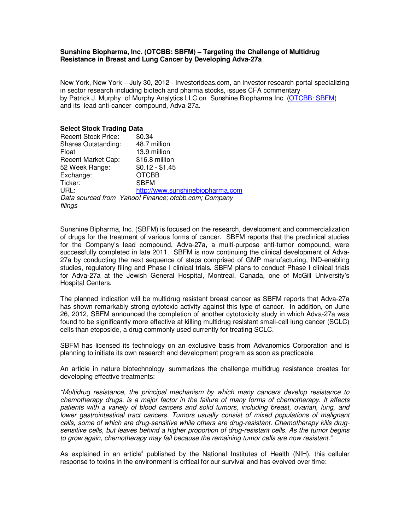### **Sunshine Biopharma, Inc. (OTCBB: SBFM) – Targeting the Challenge of Multidrug Resistance in Breast and Lung Cancer by Developing Adva-27a**

New York, New York – July 30, 2012 - Investorideas.com, an investor research portal specializing in sector research including biotech and pharma stocks, issues CFA commentary by Patrick J. Murphy of Murphy Analytics LLC on Sunshine Biopharma Inc. [\(OTCBB: SBFM\)](http://finance.yahoo.com/q?s=SBFM&ql=0) and its lead anti-cancer compound, Adva-27a.

### **Select Stock Trading Data**

| <b>Recent Stock Price:</b> | \$0.34                                               |
|----------------------------|------------------------------------------------------|
| <b>Shares Outstanding:</b> | 48.7 million                                         |
| Float                      | 13.9 million                                         |
| Recent Market Cap:         | \$16.8 million                                       |
| 52 Week Range:             | $$0.12 - $1.45$                                      |
| Exchange:                  | <b>OTCBB</b>                                         |
| Ticker:                    | <b>SBFM</b>                                          |
| URL:                       | http://www.sunshinebiopharma.com                     |
|                            | Data sourced from Yahoo! Finance; otcbb.com; Company |
| filings                    |                                                      |

Sunshine Bipharma, Inc. (SBFM) is focused on the research, development and commercialization of drugs for the treatment of various forms of cancer. SBFM reports that the preclinical studies for the Company's lead compound, Adva-27a, a multi-purpose anti-tumor compound, were successfully completed in late 2011. SBFM is now continuing the clinical development of Adva-27a by conducting the next sequence of steps comprised of GMP manufacturing, IND-enabling studies, regulatory filing and Phase I clinical trials. SBFM plans to conduct Phase I clinical trials [for Adva-27a at the Jewish General Hospital, Montreal, Ca](http://www.nature.com/nbt/journal/v18/n10s/full/nbt1000_IT18.html)nada, one of McGill University's [Hospital Centers.](http://www.ncbi.nlm.nih.gov/pmc/articles/PMC2810319/) 

The planned indication will be multidrug resistant breast cancer as SBFM reports that Adva-27a has shown remarkably strong cytotoxic activity against this type of cancer. In addition, on June 26, 2012, SBFM announced the completion of another cytotoxicity study in which Adva-27a was found to be significantly more effective at killing multidrug resistant small-cell lung cancer (SCLC) cells than etoposide, a drug commonly used currently for treating SCLC.

SBFM has licensed its technology on an exclusive basis from Advanomics Corporation and is planning to initiate its own research and development program as soon as practicable

An article in nature biotechnology<sup>i</sup> summarizes the challenge multidrug resistance creates for developing effective treatments:

"Multidrug resistance, the principal mechanism by which many cancers develop resistance to chemotherapy drugs, is a major factor in the failure of many forms of chemotherapy. It affects patients with a variety of blood cancers and solid tumors, including breast, ovarian, lung, and lower gastrointestinal tract cancers. Tumors usually consist of mixed populations of malignant cells, some of which are drug-sensitive while others are drug-resistant. Chemotherapy kills drugsensitive cells, but leaves behind a higher proportion of drug-resistant cells. As the tumor begins to grow again, chemotherapy may fail because the remaining tumor cells are now resistant."

As explained in an article<sup>li</sup> published by the National Institutes of Health (NIH), this cellular response to toxins in the environment is critical for our survival and has evolved over time: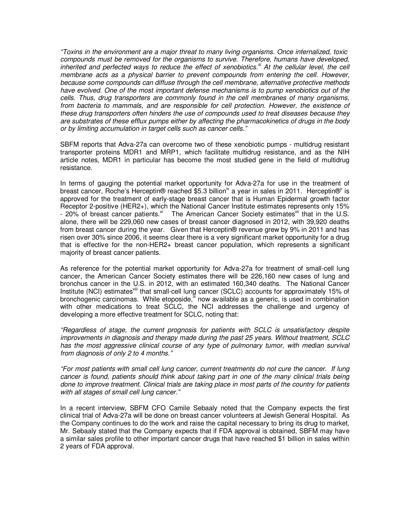"Toxins in the environment are a major threat to many living organisms. Once internalized, toxic [compounds must be removed for the organisms to survive. Therefore, humans hav](http://twitter.com/)e developed, inherited and perfected ways to reduce the effect of xenobiotics.<sup>iii</sup> At the cellular level, the cell [membrane acts as a physical barrier to prevent compounds from entering the cell. Howev](http://www.facebook.com/Investorideas)er, because some compounds can diffuse through the cell membrane, alternative protective methods [have evolved. One of the most important defense mechanisms is to pump x](http://www.investorideas.com/Resources/Newsletter.asp)enobiotics out of the cells. Thus, drug transporters are commonly found in the cell membranes of many organisms, [from bacteria to mammals, and are responsible for cell protection. However, t](http://www.investorideas.com/CO/SBFM/)he existence of these drug transporters often hinders the use of compounds used to treat diseases because they are substrates of these efflux pumps either by affecting the pharmacokinetics of drugs in the body or by limiting accumulation in target cells such as cancer cells."

[SBFM rep](http://www.investorideas.com/About/Disclaimer.asp)orts that Adva-27a can overcome two of these xenobiotic pumps - multidrug resistant transporter proteins MDR1 and MRP1, which facilitate multidrug resistance, and as the NIH article notes, MDR1 in particular has become the most studied gene in the field of multidrug resistance.

In terms of gauging the potential market opportunity for Adva-27a for use in the treatment of [breast cancer, Roche's Herceptin® reached](http://www.bcsc.bc.ca/release.aspx?id=6894) \$5.3 billion<sup>iv</sup> a year in sales in 2011. Herceptin®' is approved for the treatment of early-stage breast cancer that is Human Epidermal growth factor [Receptor 2-positive \(HER2+\), which the Natio](http://www.investorideas.com/)nal Cancer Institute estimates represents only 15% - 20% of breast cancer patients. $v^i$  The American Cancer Society estimates  $v^i$  that in the U.S. alone, there will be 229,060 new cases of breast cancer diagnosed in 2012, with 39,920 deaths from breast cancer during the year. Given that Herceptin® revenue grew by 9% in 2011 and has risen over 30% since 2006, it seems clear there is a very significant market opportunity for a drug that is effective for the non-HER2+ breast cancer population, which represents a significant majority of breast cancer patients.

As reference for the potential market opportunity for Adva-27a for treatment of small-cell lung cancer, the American Cancer Society estimates there will be 226,160 new cases of lung and bronchus cancer in the U.S. in 2012, with an estimated 160,340 deaths. The National Cancer Institute (NCI) estimates<sup>viii</sup> that small-cell lung cancer (SCLC) accounts for approximately 15% of bronchogenic carcinomas. While etoposide, $\frac{R}{2}$  now available as a generic, is used in combination with other medications to treat SCLC, the NCI addresses the challenge and urgency of [developing a more effective treatment f](http://ghr.nlm.nih.gov/glossary=xenobiotics)[or SCLC, noting that:](http://www.roche.com/investors/annual_reports/annual_reports_2011.htm) 

["Regardless of stage, the curr](http://www.herceptin.com/about/)ent prognosis for patients with SCLC is unsatisfactory despite [improvements in diagnosis and therapy made d](http://www.cancer.gov/newscenter/qa/2008/alttoqa)uring the past 25 years. Without treatment, SCLC [has the most aggressive clinical course of any type of pulmonary tumor, with median su](http://www.cancer.org/acs/groups/content/@epidemiologysurveilance/documents/document/acspc-031941.pdf)rvival [from diag](http://www.cancer.org/acs/groups/content/@epidemiologysurveilance/documents/document/acspc-031941.pdf)[nosis of only 2 to 4 months."](http://www.cancer.gov/cancertopics/pdq/treatment/small-cell-lung/healthprofessional) 

["For most patients with small cell lung cancer, current treatm](http://www.nlm.nih.gov/medlineplus/druginfo/meds/a684055.html)[ents do not cure](http://www.cancer.gov/cancertopics/pdq/treatment/small-cell-lung/Patient) the cancer. If lung cancer is found, patients should think about taking part in one of the many clinical trials being done to improve treatment. Clinical trials are taking place in most parts of the country for patients with all stages of small cell lung cancer."

In a recent interview, SBFM CFO Camile Sebaaly noted that the Company expects the first clinical trial of Adva-27a will be done on breast cancer volunteers at Jewish General Hospital. As the Company continues to do the work and raise the capital necessary to bring its drug to market, [Mr. Sebaaly stated that the Compan](http://www.sunshinebiopharma.com/)y expects that if FDA approval is obtained, SBFM may have a similar sales profile to other important cancer drugs that have reached \$1 billion in sales within 2 years of FDA approval.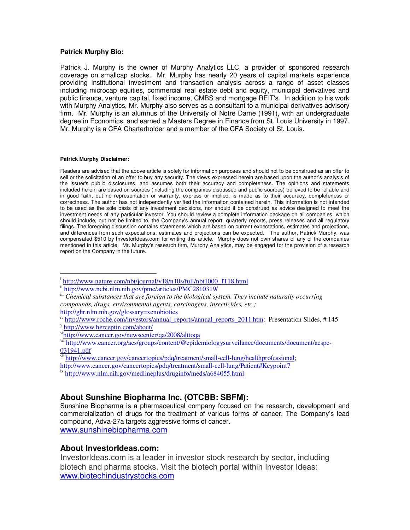### **Patrick Murphy Bio:**

Patrick J. Murphy is the owner of Murphy Analytics LLC, a provider of sponsored research coverage on smallcap stocks. Mr. Murphy has nearly 20 years of capital markets experience providing institutional investment and transaction analysis across a range of asset classes including microcap equities, commercial real estate debt and equity, municipal derivatives and public finance, venture capital, fixed income, CMBS and mortgage REIT's. In addition to his work with Murphy Analytics, Mr. Murphy also serves as a consultant to a municipal derivatives advisory firm. Mr. Murphy is an alumnus of the University of Notre Dame (1991), with an undergraduate degree in Economics, and earned a Masters Degree in Finance from St. Louis University in 1997. Mr. Murphy is a CFA Charterholder and a member of the CFA Society of St. Louis.

#### **Patrick Murphy Disclaimer:**

 $\overline{a}$ 

Readers are advised that the above article is solely for information purposes and should not to be construed as an offer to sell or the solicitation of an offer to buy any security. The views expressed herein are based upon the author's analysis of the issuer's public disclosures, and assumes both their accuracy and completeness. The opinions and statements included herein are based on sources (including the companies discussed and public sources) believed to be reliable and in good faith, but no representation or warranty, express or implied, is made as to their accuracy, completeness or correctness. The author has not independently verified the information contained herein. This information is not intended to be used as the sole basis of any investment decisions, nor should it be construed as advice designed to meet the investment needs of any particular investor. You should review a complete information package on all companies, which should include, but not be limited to, the Company's annual report, quarterly reports, press releases and all regulatory filings. The foregoing discussion contains statements which are based on current expectations, estimates and projections, and differences from such expectations, estimates and projections can be expected. The author, Patrick Murphy, was compensated \$510 by InvestorIdeas.com for writing this article. Murphy does not own shares of any of the companies mentioned in this article. Mr. Murphy's research firm, Murphy Analytics, may be engaged for the provision of a research report on the Company in the future.

- v http://www.herceptin.com/about/
- vihttp://www.cancer.gov/newscenter/qa/2008/alttoqa

http://www.cancer.gov/cancertopics/pdq/treatment/small-cell-lung/Patient#Keypoint7

# **About Sunshine Biopharma Inc. (OTCBB: SBFM):**

Sunshine Biopharma is a pharmaceutical company focused on the research, development and commercialization of drugs for the treatment of various forms of cancer. The Company's lead compound, Adva-27a targets aggressive forms of cancer.

www.sunshinebiopharma.com

## **About InvestorIdeas.com:**

InvestorIdeas.com is a leader in investor stock research by sector, including biotech and pharma stocks. Visit the biotech portal within Investor Ideas: www.biotechindustrystocks.com

<sup>&</sup>lt;sup>i</sup>http://www.nature.com/nbt/journal/v18/n10s/full/nbt1000\_IT18.html

ii http://www.ncbi.nlm.nih.gov/pmc/articles/PMC2810319/

iii *Chemical substances that are foreign to the biological system. They include naturally occurring compounds, drugs, environmental agents, carcinogens, insecticides, etc.;* 

http://ghr.nlm.nih.gov/glossary=xenobiotics

<sup>&</sup>lt;sup>iv</sup> http://www.roche.com/investors/annual\_reports/annual\_reports\_2011.htm: Presentation Slides, # 145

vii http://www.cancer.org/acs/groups/content/@epidemiologysurveilance/documents/document/acspc-031941.pdf

viiihttp://www.cancer.gov/cancertopics/pdq/treatment/small-cell-lung/healthprofessional;

ix http://www.nlm.nih.gov/medlineplus/druginfo/meds/a684055.html